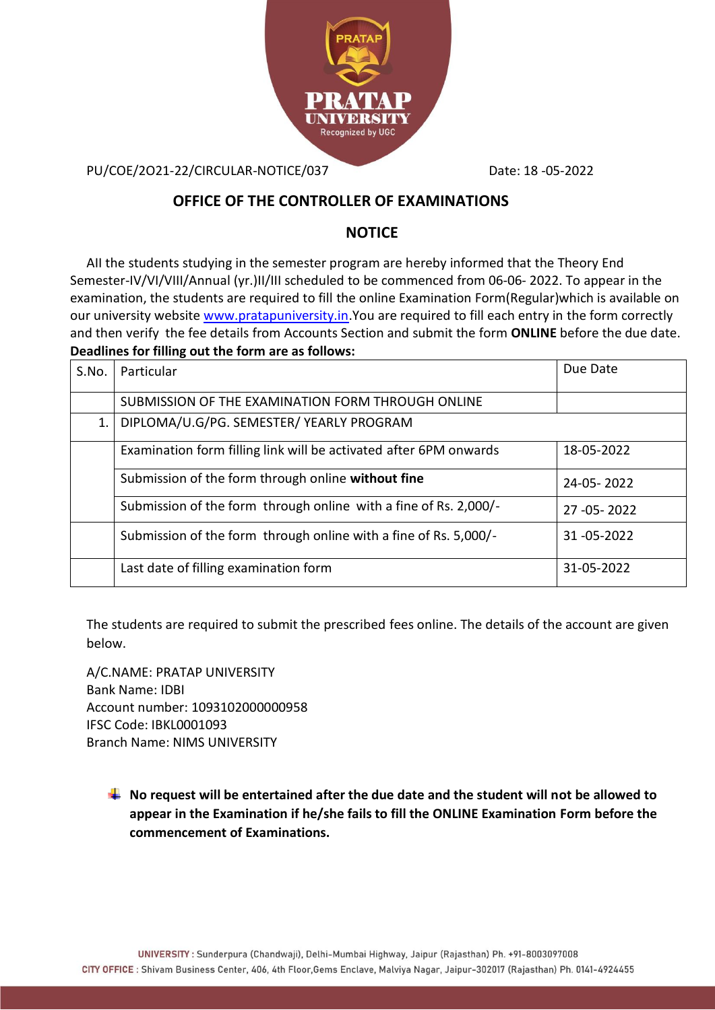

PU/COE/2O21-22/CIRCULAR-NOTICE/037 Date: 18 -05-2022

## **OFFICE OF THE CONTROLLER OF EXAMINATIONS**

## **NOTICE**

AII the students studying in the semester program are hereby informed that the Theory End Semester-IV/VI/VIII/Annual (yr.)II/III scheduled to be commenced from 06-06- 2022. To appear in the examination, the students are required to fill the online Examination Form(Regular)which is available on our university website [www.pratapuniversity.in.](http://www.pratapuniversity.in/)You are required to fill each entry in the form correctly and then verify the fee details from Accounts Section and submit the form **ONLINE** before the due date. **Deadlines for filling out the form are as follows:** 

| S.No. | Particular                                                        | Due Date         |
|-------|-------------------------------------------------------------------|------------------|
|       | SUBMISSION OF THE EXAMINATION FORM THROUGH ONLINE                 |                  |
| 1.    | DIPLOMA/U.G/PG. SEMESTER/ YEARLY PROGRAM                          |                  |
|       | Examination form filling link will be activated after 6PM onwards | 18-05-2022       |
|       | Submission of the form through online without fine                | $24 - 05 - 2022$ |
|       | Submission of the form through online with a fine of Rs. 2,000/-  | 27 - 05 - 2022   |
|       | Submission of the form through online with a fine of Rs. 5,000/-  | 31 - 05 - 2022   |
|       | Last date of filling examination form                             | 31-05-2022       |

The students are required to submit the prescribed fees online. The details of the account are given below.

A/C.NAME: PRATAP UNIVERSITY Bank Name: IDBI Account number: 1093102000000958 IFSC Code: IBKL0001093 Branch Name: NIMS UNIVERSITY

**No request will be entertained after the due date and the student will not be allowed to appear in the Examination if he/she fails to fill the ONLINE Examination Form before the commencement of Examinations.**